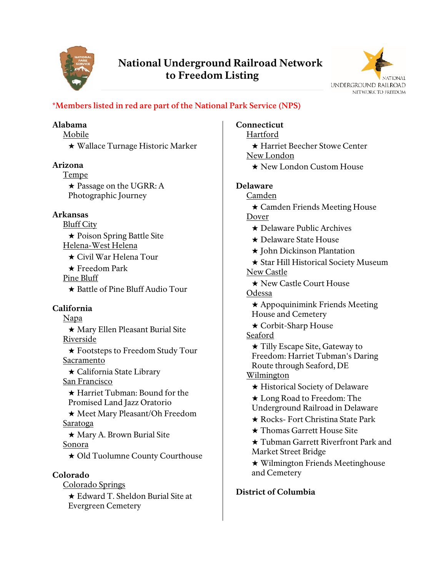

# National Underground Railroad Network to Freedom Listing



# **\*Members listed in red are part of the National Park Service (NPS)**

## Alabama

Mobile ★ Wallace Turnage Historic Marker

# Arizona

Tempe ★ Passage on the UGRR: A Photographic Journey

# Arkansas

Bluff City ★ Poison Spring Battle Site Helena-West Helena

★ Civil War Helena Tour

★ Freedom Park

Pine Bluff

★ Battle of Pine Bluff Audio Tour

# California

Napa ★ Mary Ellen Pleasant Burial Site Riverside ★ Footsteps to Freedom Study Tour Sacramento ★ California State Library San Francisco ★ Harriet Tubman: Bound for the Promised Land Jazz Oratorio ★ Meet Mary Pleasant/Oh Freedom **Saratoga** ★ Mary A. Brown Burial Site Sonora ★ Old Tuolumne County Courthouse Colorado Colorado Springs ★ Edward T. Sheldon Burial Site at Evergreen Cemetery

# Connecticut

Hartford ★ Harriet Beecher Stowe Center New London

★ New London Custom House

# Delaware

Camden

★ Camden Friends Meeting House Dover

- ★ Delaware Public Archives
- ★ Delaware State House
- ★ John Dickinson Plantation

★ Star Hill Historical Society Museum New Castle

★ New Castle Court House

Odessa

★ Appoquinimink Friends Meeting House and Cemetery

★ Corbit-Sharp House

Seaford

★ Tilly Escape Site, Gateway to Freedom: Harriet Tubman's Daring Route through Seaford, DE **Wilmington** 

★ Historical Society of Delaware

★ Long Road to Freedom: The Underground Railroad in Delaware

★ Rocks- Fort Christina State Park

★ Thomas Garrett House Site

★ Tubman Garrett Riverfront Park and Market Street Bridge

★ Wilmington Friends Meetinghouse and Cemetery

# District of Columbia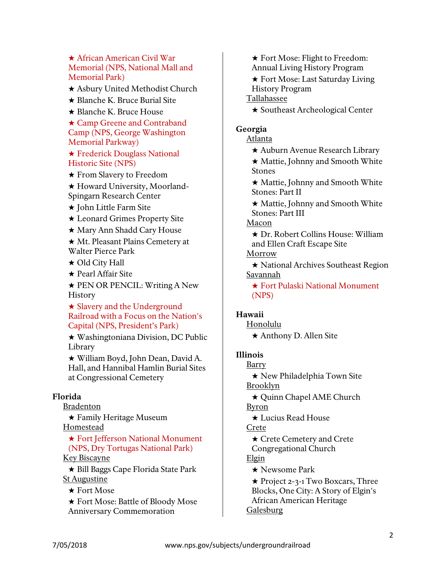★ African American Civil War Memorial (NPS, National Mall and Memorial Park)

★ Asbury United Methodist Church

★ Blanche K. Bruce Burial Site

★ Blanche K. Bruce House

★ Camp Greene and Contraband Camp (NPS, George Washington Memorial Parkway)

★ Frederick Douglass National Historic Site (NPS)

★ From Slavery to Freedom

★ Howard University, Moorland-Spingarn Research Center

★ John Little Farm Site

★ Leonard Grimes Property Site

★ Mary Ann Shadd Cary House

★ Mt. Pleasant Plains Cemetery at Walter Pierce Park

★ Old City Hall

★ Pearl Affair Site

★ PEN OR PENCIL: Writing A New **History** 

★ Slavery and the Underground Railroad with a Focus on the Nation's Capital (NPS, President's Park)

★ Washingtoniana Division, DC Public Library

★ William Boyd, John Dean, David A. Hall, and Hannibal Hamlin Burial Sites at Congressional Cemetery

#### Florida

Bradenton

★ Family Heritage Museum Homestead

★ Fort Jefferson National Monument (NPS, Dry Tortugas National Park)

# Key Biscayne

★ Bill Baggs Cape Florida State Park St Augustine

★ Fort Mose

★ Fort Mose: Battle of Bloody Mose Anniversary Commemoration

★ Fort Mose: Flight to Freedom: Annual Living History Program

★ Fort Mose: Last Saturday Living History Program

Tallahassee

★ Southeast Archeological Center

#### Georgia

Atlanta

★ Auburn Avenue Research Library

★ Mattie, Johnny and Smooth White Stones

★ Mattie, Johnny and Smooth White Stones: Part II

★ Mattie, Johnny and Smooth White Stones: Part III

Macon

★ Dr. Robert Collins House: William and Ellen Craft Escape Site

Morrow

★ National Archives Southeast Region Savannah

★ Fort Pulaski National Monument (NPS)

#### Hawaii

Honolulu ★ Anthony D. Allen Site

#### Illinois

Barry ★ New Philadelphia Town Site Brooklyn ★ Quinn Chapel AME Church Byron ★ Lucius Read House Crete ★ Crete Cemetery and Crete Congregational Church Elgin ★ Newsome Park

★ Project 2-3-1 Two Boxcars, Three Blocks, One City: A Story of Elgin's African American Heritage Galesburg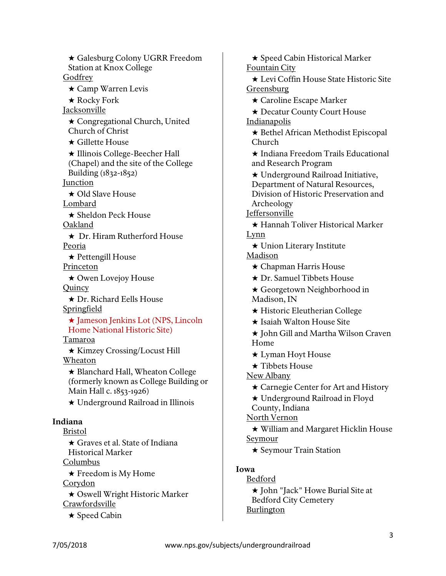★ Galesburg Colony UGRR Freedom Station at Knox College **Godfrey** ★ Camp Warren Levis ★ Rocky Fork Jacksonville ★ Congregational Church, United Church of Christ ★ Gillette House ★ Illinois College-Beecher Hall (Chapel) and the site of the College Building (1832-1852) **Junction** ★ Old Slave House Lombard ★ Sheldon Peck House Oakland ★ Dr. Hiram Rutherford House Peoria ★ Pettengill House Princeton ★ Owen Lovejoy House **Quincy** ★ Dr. Richard Eells House Springfield ★ Jameson Jenkins Lot (NPS, Lincoln Home National Historic Site) Tamaroa ★ Kimzey Crossing/Locust Hill Wheaton ★ Blanchard Hall, Wheaton College (formerly known as College Building or Main Hall c. 1853-1926) ★ Underground Railroad in Illinois Indiana Bristol ★ Graves et al. State of Indiana Historical Marker Columbus ★ Freedom is My Home **Corydon** ★ Oswell Wright Historic Marker Crawfordsville

★ Speed Cabin

★ Speed Cabin Historical Marker Fountain City ★ Levi Coffin House State Historic Site Greensburg ★ Caroline Escape Marker ★ Decatur County Court House Indianapolis ★ Bethel African Methodist Episcopal Church ★ Indiana Freedom Trails Educational and Research Program ★ Underground Railroad Initiative, Department of Natural Resources, Division of Historic Preservation and Archeology Jeffersonville ★ Hannah Toliver Historical Marker Lynn ★ Union Literary Institute Madison ★ Chapman Harris House ★ Dr. Samuel Tibbets House ★ Georgetown Neighborhood in Madison, IN ★ Historic Eleutherian College ★ Isaiah Walton House Site ★ John Gill and Martha Wilson Craven Home ★ Lyman Hoyt House ★ Tibbets House New Albany ★ Carnegie Center for Art and History ★ Underground Railroad in Floyd County, Indiana North Vernon ★ William and Margaret Hicklin House **Seymour** ★ Seymour Train Station Iowa Bedford

★ John "Jack" Howe Burial Site at Bedford City Cemetery Burlington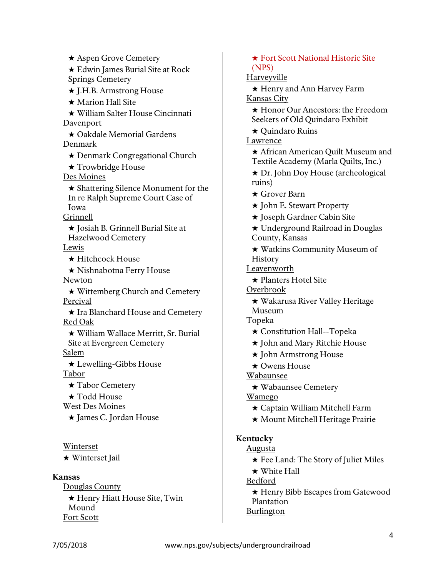★ Aspen Grove Cemetery ★ Edwin James Burial Site at Rock Springs Cemetery ★ J.H.B. Armstrong House ★ Marion Hall Site ★ William Salter House Cincinnati **Davenport** ★ Oakdale Memorial Gardens Denmark ★ Denmark Congregational Church ★ Trowbridge House Des Moines ★ Shattering Silence Monument for the In re Ralph Supreme Court Case of Iowa Grinnell ★ Josiah B. Grinnell Burial Site at Hazelwood Cemetery Lewis ★ Hitchcock House ★ Nishnabotna Ferry House Newton ★ Wittemberg Church and Cemetery Percival ★ Ira Blanchard House and Cemetery Red Oak ★ William Wallace Merritt, Sr. Burial Site at Evergreen Cemetery Salem ★ Lewelling-Gibbs House Tabor ★ Tabor Cemetery ★ Todd House West Des Moines ★ James C. Jordan House Winterset

★ Winterset Jail

## Kansas

Douglas County ★ Henry Hiatt House Site, Twin Mound Fort Scott

# ★ Fort Scott National Historic Site (NPS)

# Harveyville

★ Henry and Ann Harvey Farm Kansas City

★ Honor Our Ancestors: the Freedom Seekers of Old Quindaro Exhibit

★ Quindaro Ruins

Lawrence

- ★ African American Quilt Museum and Textile Academy (Marla Quilts, Inc.)
- ★ Dr. John Doy House (archeological ruins)
- ★ Grover Barn
- ★ John E. Stewart Property
- ★ Joseph Gardner Cabin Site
- ★ Underground Railroad in Douglas County, Kansas
- ★ Watkins Community Museum of **History**
- Leavenworth
	- ★ Planters Hotel Site
- Overbrook
	- ★ Wakarusa River Valley Heritage
	- Museum
- Topeka
	- ★ Constitution Hall--Topeka
	- ★ John and Mary Ritchie House
	- ★ John Armstrong House
	- ★ Owens House

Wabaunsee

★ Wabaunsee Cemetery

Wamego

- ★ Captain William Mitchell Farm
- ★ Mount Mitchell Heritage Prairie

# Kentucky

Augusta

- ★ Fee Land: The Story of Juliet Miles
- ★ White Hall
- Bedford

★ Henry Bibb Escapes from Gatewood Plantation Burlington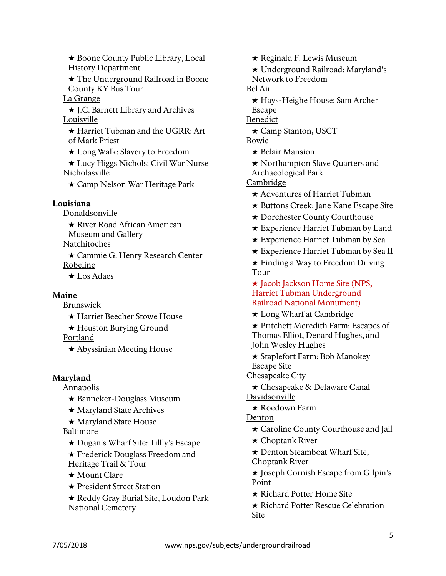★ Boone County Public Library, Local History Department

★ The Underground Railroad in Boone County KY Bus Tour

La Grange

★ J.C. Barnett Library and Archives Louisville

★ Harriet Tubman and the UGRR: Art of Mark Priest

★ Long Walk: Slavery to Freedom

★ Lucy Higgs Nichols: Civil War Nurse Nicholasville

★ Camp Nelson War Heritage Park

## Louisiana

Donaldsonville

★ River Road African American Museum and Gallery

**Natchitoches** 

★ Cammie G. Henry Research Center Robeline

★ Los Adaes

## Maine

Brunswick

★ Harriet Beecher Stowe House

★ Heuston Burying Ground

Portland

★ Abyssinian Meeting House

## Maryland

Annapolis

- ★ Banneker-Douglass Museum
- ★ Maryland State Archives
- ★ Maryland State House

## Baltimore

- ★ Dugan's Wharf Site: Tillly's Escape
- ★ Frederick Douglass Freedom and Heritage Trail & Tour
- ★ Mount Clare
- ★ President Street Station
- ★ Reddy Gray Burial Site, Loudon Park National Cemetery

★ Reginald F. Lewis Museum

★ Underground Railroad: Maryland's Network to Freedom

Bel Air

★ Hays-Heighe House: Sam Archer

Escape

**Benedict** 

- ★ Camp Stanton, USCT
- Bowie
	- ★ Belair Mansion
	- ★ Northampton Slave Quarters and Archaeological Park

Cambridge

- ★ Adventures of Harriet Tubman
- ★ Buttons Creek: Jane Kane Escape Site
- ★ Dorchester County Courthouse
- ★ Experience Harriet Tubman by Land
- ★ Experience Harriet Tubman by Sea
- ★ Experience Harriet Tubman by Sea II

★ Finding a Way to Freedom Driving Tour

- ★ Jacob Jackson Home Site (NPS, Harriet Tubman Underground Railroad National Monument)
- ★ Long Wharf at Cambridge

★ Pritchett Meredith Farm: Escapes of Thomas Elliot, Denard Hughes, and John Wesley Hughes

★ Staplefort Farm: Bob Manokey Escape Site

Chesapeake City

- ★ Chesapeake & Delaware Canal Davidsonville
	- ★ Roedown Farm

Denton

- ★ Caroline County Courthouse and Jail
- ★ Choptank River
- ★ Denton Steamboat Wharf Site, Choptank River
- ★ Joseph Cornish Escape from Gilpin's Point
- ★ Richard Potter Home Site
- ★ Richard Potter Rescue Celebration **Site**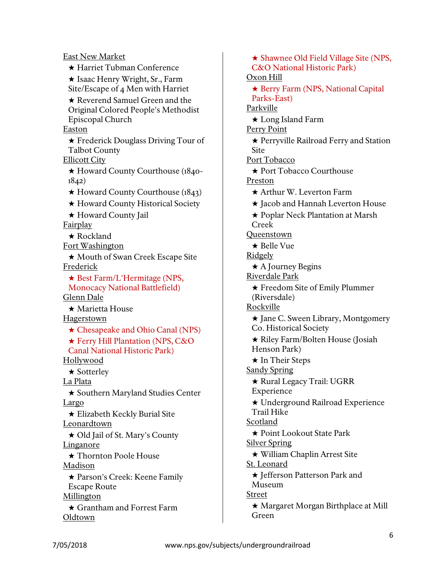East New Market ★ Harriet Tubman Conference ★ Isaac Henry Wright, Sr., Farm Site/Escape of 4 Men with Harriet ★ Reverend Samuel Green and the Original Colored People's Methodist Episcopal Church **Easton** ★ Frederick Douglass Driving Tour of Talbot County Ellicott City ★ Howard County Courthouse (1840- 1842) ★ Howard County Courthouse (1843) ★ Howard County Historical Society ★ Howard County Jail Fairplay ★ Rockland Fort Washington ★ Mouth of Swan Creek Escape Site Frederick ★ Best Farm/L'Hermitage (NPS, Monocacy National Battlefield) Glenn Dale ★ Marietta House Hagerstown ★ Chesapeake and Ohio Canal (NPS) ★ Ferry Hill Plantation (NPS, C&O Canal National Historic Park) Hollywood ★ Sotterley La Plata ★ Southern Maryland Studies Center Largo ★ Elizabeth Keckly Burial Site Leonardtown ★ Old Jail of St. Mary's County Linganore ★ Thornton Poole House Madison ★ Parson's Creek: Keene Family Escape Route Millington ★ Grantham and Forrest Farm Oldtown

★ Shawnee Old Field Village Site (NPS, C&O National Historic Park) Oxon Hill ★ Berry Farm (NPS, National Capital Parks-East) Parkville ★ Long Island Farm Perry Point ★ Perryville Railroad Ferry and Station **Site** Port Tobacco ★ Port Tobacco Courthouse Preston ★ Arthur W. Leverton Farm ★ Jacob and Hannah Leverton House ★ Poplar Neck Plantation at Marsh Creek **Oueenstown** ★ Belle Vue **Ridgely** ★ A Journey Begins Riverdale Park ★ Freedom Site of Emily Plummer (Riversdale) Rockville ★ Jane C. Sween Library, Montgomery Co. Historical Society ★ Riley Farm/Bolten House (Josiah Henson Park) ★ In Their Steps **Sandy Spring** ★ Rural Legacy Trail: UGRR Experience ★ Underground Railroad Experience Trail Hike Scotland ★ Point Lookout State Park Silver Spring ★ William Chaplin Arrest Site St. Leonard ★ Jefferson Patterson Park and Museum Street ★ Margaret Morgan Birthplace at Mill Green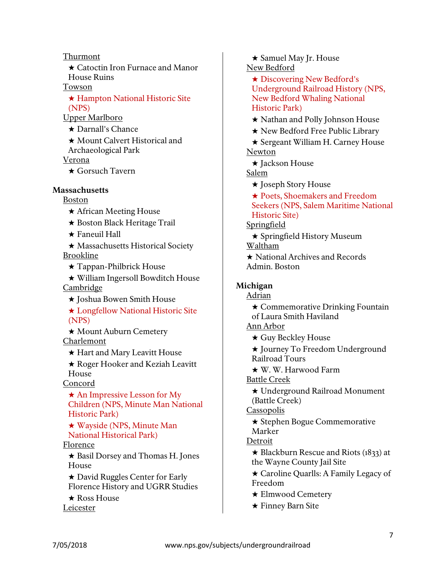Thurmont

★ Catoctin Iron Furnace and Manor House Ruins

#### Towson

★ Hampton National Historic Site (NPS)

Upper Marlboro

★ Darnall's Chance ★ Mount Calvert Historical and Archaeological Park Verona

★ Gorsuch Tavern

#### **Massachusetts**

Boston

- ★ African Meeting House
- ★ Boston Black Heritage Trail
- ★ Faneuil Hall

★ Massachusetts Historical Society **Brookline** 

★ Tappan-Philbrick House

★ William Ingersoll Bowditch House **Cambridge** 

★ Joshua Bowen Smith House

★ Longfellow National Historic Site (NPS)

★ Mount Auburn Cemetery

Charlemont

★ Hart and Mary Leavitt House

★ Roger Hooker and Keziah Leavitt House

Concord

★ An Impressive Lesson for My Children (NPS, Minute Man National Historic Park)

★ Wayside (NPS, Minute Man National Historical Park)

## Florence

★ Basil Dorsey and Thomas H. Jones House

★ David Ruggles Center for Early Florence History and UGRR Studies

★ Ross House Leicester

★ Samuel May Jr. House New Bedford

★ Discovering New Bedford's Underground Railroad History (NPS, New Bedford Whaling National Historic Park)

★ Nathan and Polly Johnson House

★ New Bedford Free Public Library

★ Sergeant William H. Carney House Newton

★ Jackson House

Salem

★ Joseph Story House

★ Poets, Shoemakers and Freedom Seekers (NPS, Salem Maritime National Historic Site)

Springfield

★ Springfield History Museum Waltham

★ National Archives and Records Admin. Boston

## Michigan

Adrian ★ Commemorative Drinking Fountain of Laura Smith Haviland

Ann Arbor

★ Guy Beckley House

★ Journey To Freedom Underground Railroad Tours

★ W. W. Harwood Farm

Battle Creek

★ Underground Railroad Monument (Battle Creek)

**Cassopolis** 

★ Stephen Bogue Commemorative Marker

## Detroit

 $\star$  Blackburn Rescue and Riots (1833) at the Wayne County Jail Site

★ Caroline Quarlls: A Family Legacy of Freedom

- ★ Elmwood Cemetery
- ★ Finney Barn Site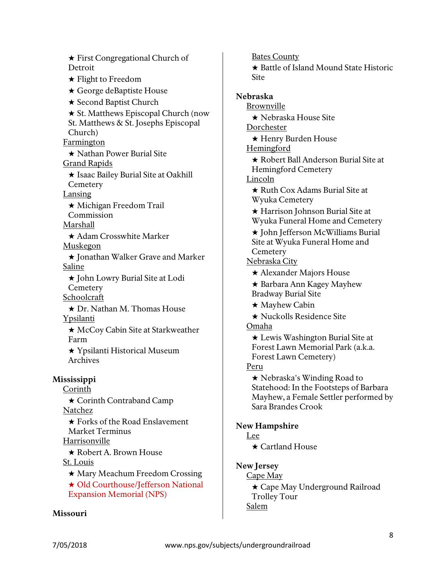★ First Congregational Church of **Detroit** ★ Flight to Freedom ★ George deBaptiste House ★ Second Baptist Church ★ St. Matthews Episcopal Church (now St. Matthews & St. Josephs Episcopal Church) Farmington ★ Nathan Power Burial Site Grand Rapids ★ Isaac Bailey Burial Site at Oakhill **Cemetery** Lansing ★ Michigan Freedom Trail Commission Marshall ★ Adam Crosswhite Marker Muskegon ★ Jonathan Walker Grave and Marker Saline ★ John Lowry Burial Site at Lodi **Cemetery** Schoolcraft ★ Dr. Nathan M. Thomas House Ypsilanti ★ McCoy Cabin Site at Starkweather Farm ★ Ypsilanti Historical Museum Archives Mississippi Corinth ★ Corinth Contraband Camp Natchez ★ Forks of the Road Enslavement Market Terminus Harrisonville ★ Robert A. Brown House St. Louis ★ Mary Meachum Freedom Crossing ★ Old Courthouse/Jefferson National Expansion Memorial (NPS)

#### Missouri

Bates County ★ Battle of Island Mound State Historic **Site** Nebraska Brownville ★ Nebraska House Site Dorchester ★ Henry Burden House Hemingford ★ Robert Ball Anderson Burial Site at Hemingford Cemetery Lincoln ★ Ruth Cox Adams Burial Site at Wyuka Cemetery ★ Harrison Johnson Burial Site at Wyuka Funeral Home and Cemetery ★ John Jefferson McWilliams Burial Site at Wyuka Funeral Home and **Cemetery** Nebraska City ★ Alexander Majors House ★ Barbara Ann Kagey Mayhew Bradway Burial Site ★ Mayhew Cabin ★ Nuckolls Residence Site Omaha ★ Lewis Washington Burial Site at Forest Lawn Memorial Park (a.k.a. Forest Lawn Cemetery) Peru ★ Nebraska's Winding Road to Statehood: In the Footsteps of Barbara Mayhew, a Female Settler performed by Sara Brandes Crook New Hampshire Lee ★ Cartland House New Jersey Cape May ★ Cape May Underground Railroad Trolley Tour

Salem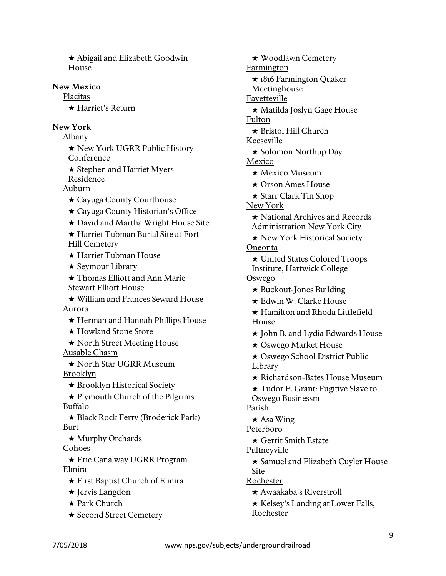★ Abigail and Elizabeth Goodwin House

#### New Mexico

Placitas

★ Harriet's Return

### New York

Albany

★ New York UGRR Public History Conference

★ Stephen and Harriet Myers Residence

# Auburn

- ★ Cayuga County Courthouse
- ★ Cayuga County Historian's Office
- ★ David and Martha Wright House Site

★ Harriet Tubman Burial Site at Fort Hill Cemetery

★ Harriet Tubman House

- ★ Seymour Library
- ★ Thomas Elliott and Ann Marie Stewart Elliott House

★ William and Frances Seward House Aurora

- ★ Herman and Hannah Phillips House
- ★ Howland Stone Store
- ★ North Street Meeting House Ausable Chasm

★ North Star UGRR Museum Brooklyn

★ Brooklyn Historical Society

★ Plymouth Church of the Pilgrims Buffalo

★ Black Rock Ferry (Broderick Park) Burt

★ Murphy Orchards

Cohoes

★ Erie Canalway UGRR Program Elmira

- ★ First Baptist Church of Elmira
- ★ Jervis Langdon
- ★ Park Church
- ★ Second Street Cemetery

★ Woodlawn Cemetery Farmington ★ 1816 Farmington Quaker Meetinghouse **Fayetteville** ★ Matilda Joslyn Gage House Fulton ★ Bristol Hill Church Keeseville ★ Solomon Northup Day Mexico ★ Mexico Museum ★ Orson Ames House ★ Starr Clark Tin Shop New York ★ National Archives and Records Administration New York City ★ New York Historical Society Oneonta ★ United States Colored Troops Institute, Hartwick College Oswego ★ Buckout-Jones Building ★ Edwin W. Clarke House ★ Hamilton and Rhoda Littlefield House ★ John B. and Lydia Edwards House ★ Oswego Market House ★ Oswego School District Public Library ★ Richardson-Bates House Museum ★ Tudor E. Grant: Fugitive Slave to Oswego Businessm Parish ★ Asa Wing Peterboro ★ Gerrit Smith Estate Pultneyville ★ Samuel and Elizabeth Cuyler House Site Rochester ★ Awaakaba's Riverstroll ★ Kelsey's Landing at Lower Falls,

Rochester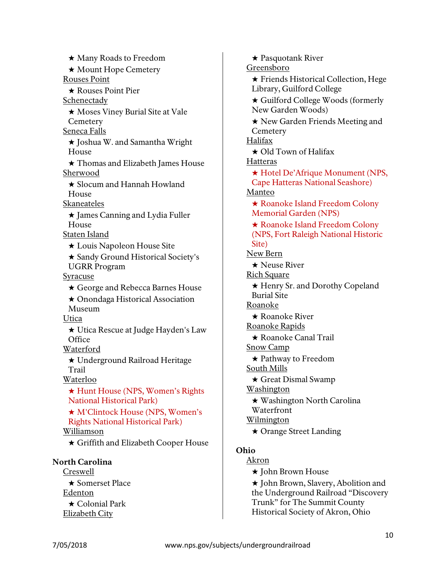★ Many Roads to Freedom ★ Mount Hope Cemetery Rouses Point ★ Rouses Point Pier Schenectady ★ Moses Viney Burial Site at Vale **Cemetery** Seneca Falls ★ Joshua W. and Samantha Wright House ★ Thomas and Elizabeth James House Sherwood ★ Slocum and Hannah Howland House Skaneateles ★ James Canning and Lydia Fuller House Staten Island ★ Louis Napoleon House Site ★ Sandy Ground Historical Society's UGRR Program Syracuse ★ George and Rebecca Barnes House ★ Onondaga Historical Association Museum Utica ★ Utica Rescue at Judge Hayden's Law **Office** Waterford ★ Underground Railroad Heritage Trail Waterloo ★ Hunt House (NPS, Women's Rights National Historical Park) ★ M'Clintock House (NPS, Women's Rights National Historical Park) Williamson ★ Griffith and Elizabeth Cooper House North Carolina Creswell

★ Somerset Place Edenton ★ Colonial Park Elizabeth City

★ Pasquotank River Greensboro ★ Friends Historical Collection, Hege Library, Guilford College ★ Guilford College Woods (formerly New Garden Woods) ★ New Garden Friends Meeting and **Cemetery** Halifax ★ Old Town of Halifax **Hatteras** ★ Hotel De'Afrique Monument (NPS, Cape Hatteras National Seashore) Manteo ★ Roanoke Island Freedom Colony Memorial Garden (NPS) ★ Roanoke Island Freedom Colony (NPS, Fort Raleigh National Historic Site) New Bern ★ Neuse River Rich Square ★ Henry Sr. and Dorothy Copeland Burial Site Roanoke ★ Roanoke River Roanoke Rapids ★ Roanoke Canal Trail Snow Camp ★ Pathway to Freedom South Mills ★ Great Dismal Swamp Washington ★ Washington North Carolina Waterfront Wilmington ★ Orange Street Landing Ohio Akron ★ John Brown House

> ★ John Brown, Slavery, Abolition and the Underground Railroad "Discovery Trunk" for The Summit County Historical Society of Akron, Ohio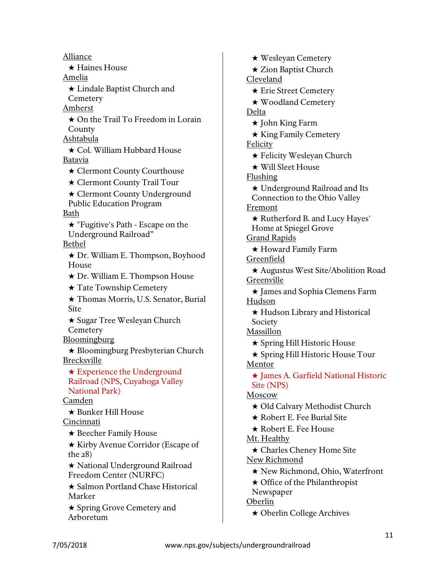Alliance ★ Haines House Amelia ★ Lindale Baptist Church and **Cemetery** Amherst ★ On the Trail To Freedom in Lorain **County** Ashtabula ★ Col. William Hubbard House Batavia ★ Clermont County Courthouse ★ Clermont County Trail Tour ★ Clermont County Underground Public Education Program Bath ★ "Fugitive's Path - Escape on the Underground Railroad" Bethel ★ Dr. William E. Thompson, Boyhood House ★ Dr. William E. Thompson House ★ Tate Township Cemetery ★ Thomas Morris, U.S. Senator, Burial Site ★ Sugar Tree Wesleyan Church **Cemetery** Bloomingburg ★ Bloomingburg Presbyterian Church Brecksville ★ Experience the Underground Railroad (NPS, Cuyahoga Valley National Park) Camden ★ Bunker Hill House Cincinnati ★ Beecher Family House ★ Kirby Avenue Corridor (Escape of the 28) ★ National Underground Railroad Freedom Center (NURFC) ★ Salmon Portland Chase Historical Marker ★ Spring Grove Cemetery and Arboretum

★ Wesleyan Cemetery ★ Zion Baptist Church Cleveland ★ Erie Street Cemetery ★ Woodland Cemetery Delta ★ John King Farm ★ King Family Cemetery Felicity ★ Felicity Wesleyan Church ★ Will Sleet House Flushing ★ Underground Railroad and Its Connection to the Ohio Valley Fremont ★ Rutherford B. and Lucy Hayes' Home at Spiegel Grove Grand Rapids ★ Howard Family Farm Greenfield ★ Augustus West Site/Abolition Road Greenville ★ James and Sophia Clemens Farm Hudson ★ Hudson Library and Historical Society **Massillon** ★ Spring Hill Historic House ★ Spring Hill Historic House Tour Mentor ★ James A. Garfield National Historic Site (NPS) Moscow ★ Old Calvary Methodist Church ★ Robert E. Fee Burial Site ★ Robert E. Fee House Mt. Healthy ★ Charles Cheney Home Site New Richmond ★ New Richmond, Ohio, Waterfront ★ Office of the Philanthropist Newspaper Oberlin ★ Oberlin College Archives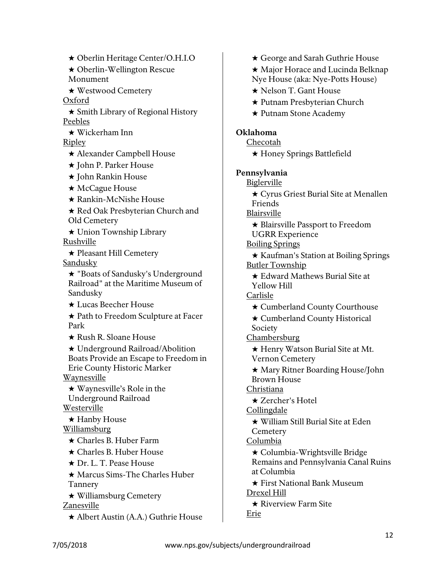★ Oberlin Heritage Center/O.H.I.O

★ Oberlin-Wellington Rescue Monument

★ Westwood Cemetery

Oxford

★ Smith Library of Regional History Peebles

★ Wickerham Inn

Ripley

★ Alexander Campbell House

★ John P. Parker House

★ John Rankin House

- ★ McCague House
- ★ Rankin-McNishe House
- ★ Red Oak Presbyterian Church and Old Cemetery
- ★ Union Township Library Rushville

★ Pleasant Hill Cemetery **Sandusky** 

★ "Boats of Sandusky's Underground Railroad" at the Maritime Museum of Sandusky

★ Lucas Beecher House

★ Path to Freedom Sculpture at Facer Park

★ Rush R. Sloane House

★ Underground Railroad/Abolition Boats Provide an Escape to Freedom in Erie County Historic Marker

Waynesville

★ Waynesville's Role in the Underground Railroad **Westerville** 

★ Hanby House Williamsburg

★ Charles B. Huber Farm

★ Charles B. Huber House

★ Dr. L. T. Pease House

★ Marcus Sims-The Charles Huber Tannery

★ Williamsburg Cemetery

Zanesville

★ Albert Austin (A.A.) Guthrie House

★ George and Sarah Guthrie House ★ Major Horace and Lucinda Belknap Nye House (aka: Nye-Potts House) ★ Nelson T. Gant House ★ Putnam Presbyterian Church ★ Putnam Stone Academy Oklahoma Checotah ★ Honey Springs Battlefield Pennsylvania **Biglerville** ★ Cyrus Griest Burial Site at Menallen Friends Blairsville ★ Blairsville Passport to Freedom UGRR Experience Boiling Springs ★ Kaufman's Station at Boiling Springs Butler Township ★ Edward Mathews Burial Site at Yellow Hill Carlisle ★ Cumberland County Courthouse ★ Cumberland County Historical Society **Chambersburg** ★ Henry Watson Burial Site at Mt. Vernon Cemetery ★ Mary Ritner Boarding House/John Brown House Christiana ★ Zercher's Hotel Collingdale ★ William Still Burial Site at Eden **Cemetery** Columbia ★ Columbia-Wrightsville Bridge Remains and Pennsylvania Canal Ruins at Columbia ★ First National Bank Museum Drexel Hill ★ Riverview Farm Site Erie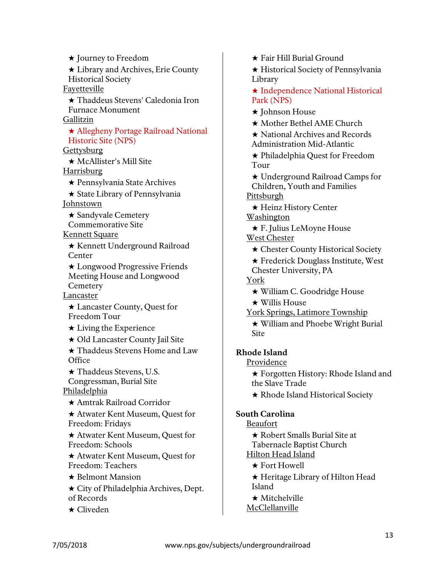★ Journey to Freedom ★ Library and Archives, Erie County Historical Society Fayetteville ★ Thaddeus Stevens' Caledonia Iron Furnace Monument Gallitzin ★ Allegheny Portage Railroad National Historic Site (NPS) **Gettysburg** ★ McAllister's Mill Site Harrisburg ★ Pennsylvania State Archives ★ State Library of Pennsylvania Johnstown ★ Sandyvale Cemetery Commemorative Site Kennett Square ★ Kennett Underground Railroad Center ★ Longwood Progressive Friends Meeting House and Longwood **Cemetery** Lancaster ★ Lancaster County, Quest for Freedom Tour  $\star$  Living the Experience ★ Old Lancaster County Jail Site ★ Thaddeus Stevens Home and Law **Office** ★ Thaddeus Stevens, U.S. Congressman, Burial Site Philadelphia ★ Amtrak Railroad Corridor ★ Atwater Kent Museum, Quest for Freedom: Fridays ★ Atwater Kent Museum, Quest for Freedom: Schools ★ Atwater Kent Museum, Quest for Freedom: Teachers ★ Belmont Mansion ★ City of Philadelphia Archives, Dept. of Records

★ Cliveden

- ★ Fair Hill Burial Ground
- ★ Historical Society of Pennsylvania Library
- ★ Independence National Historical Park (NPS)
- ★ Johnson House
- ★ Mother Bethel AME Church
- ★ National Archives and Records Administration Mid-Atlantic
- ★ Philadelphia Quest for Freedom Tour
- ★ Underground Railroad Camps for Children, Youth and Families Pittsburgh
- ★ Heinz History Center Washington
- ★ F. Julius LeMoyne House West Chester
	- ★ Chester County Historical Society
	- ★ Frederick Douglass Institute, West Chester University, PA

York

- ★ William C. Goodridge House
- ★ Willis House
- York Springs, Latimore Township
	- ★ William and Phoebe Wright Burial Site

# Rhode Island

Providence

★ Forgotten History: Rhode Island and the Slave Trade

★ Rhode Island Historical Society

## South Carolina

- Beaufort
	- ★ Robert Smalls Burial Site at
	- Tabernacle Baptist Church
- Hilton Head Island
	- ★ Fort Howell
- ★ Heritage Library of Hilton Head Island
- ★ Mitchelville
- **McClellanville**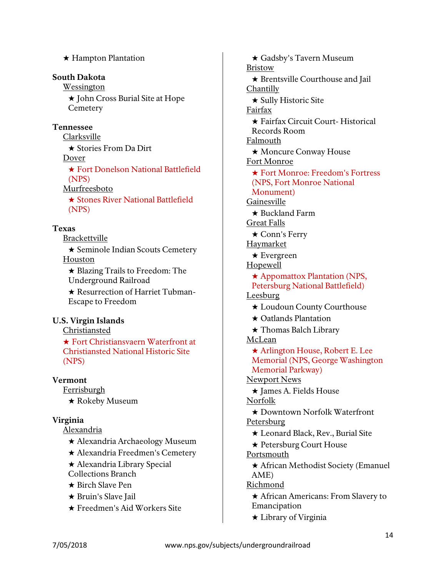| (NPS) |
|-------|
|       |

# Texas

Brackettville

★ Hampton Plantation

★ Stories From Da Dirt

★ John Cross Burial Site at Hope

South Dakota Wessington

Tennessee Clarksville

Dover

(NPS) Murfreesboto

**Cemetery** 

★ Seminole Indian Scouts Cemetery Houston

★ Fort Donelson National Battlefield

★ Stones River National Battlefield

★ Blazing Trails to Freedom: The Underground Railroad

★ Resurrection of Harriet Tubman-Escape to Freedom

# U.S. Virgin Islands

Christiansted

★ Fort Christiansvaern Waterfront at Christiansted National Historic Site (NPS)

# Vermont

Ferrisburgh ★ Rokeby Museum

# Virginia

Alexandria

- ★ Alexandria Archaeology Museum
- ★ Alexandria Freedmen's Cemetery
- ★ Alexandria Library Special Collections Branch
- ★ Birch Slave Pen
- 
- **★ Bruin's Slave Jail**
- ★ Freedmen's Aid Workers Site

★ Gadsby's Tavern Museum Bristow ★ Brentsville Courthouse and Jail Chantilly ★ Sully Historic Site Fairfax ★ Fairfax Circuit Court- Historical Records Room Falmouth ★ Moncure Conway House Fort Monroe ★ Fort Monroe: Freedom's Fortress (NPS, Fort Monroe National Monument) Gainesville ★ Buckland Farm Great Falls ★ Conn's Ferry Haymarket ★ Evergreen Hopewell ★ Appomattox Plantation (NPS, Petersburg National Battlefield) **Leesburg** ★ Loudoun County Courthouse ★ Oatlands Plantation ★ Thomas Balch Library McLean ★ Arlington House, Robert E. Lee Memorial (NPS, George Washington Memorial Parkway) Newport News ★ James A. Fields House Norfolk ★ Downtown Norfolk Waterfront **Petersburg** ★ Leonard Black, Rev., Burial Site ★ Petersburg Court House Portsmouth ★ African Methodist Society (Emanuel AME) Richmond ★ African Americans: From Slavery to Emancipation

★ Library of Virginia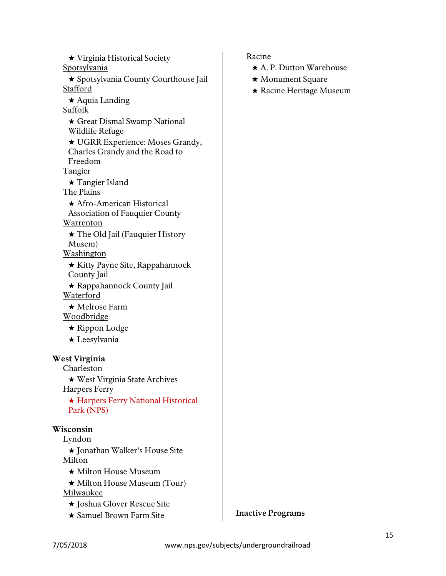★ Virginia Historical Society **Spotsylvania** ★ Spotsylvania County Courthouse Jail Stafford ★ Aquia Landing Suffolk ★ Great Dismal Swamp National Wildlife Refuge ★ UGRR Experience: Moses Grandy, Charles Grandy and the Road to Freedom **Tangier** ★ Tangier Island The Plains ★ Afro-American Historical Association of Fauquier County **Warrenton** ★ The Old Jail (Fauquier History Musem) Washington ★ Kitty Payne Site, Rappahannock County Jail ★ Rappahannock County Jail **Waterford** ★ Melrose Farm Woodbridge ★ Rippon Lodge ★ Leesylvania West Virginia **Charleston** ★ West Virginia State Archives Harpers Ferry ★ Harpers Ferry National Historical Park (NPS) Wisconsin Lyndon ★ Jonathan Walker's House Site Milton ★ Milton House Museum ★ Milton House Museum (Tour) Milwaukee

- ★ Joshua Glover Rescue Site
- ★ Samuel Brown Farm Site

# Racine

- ★ A. P. Dutton Warehouse
- ★ Monument Square
- ★ Racine Heritage Museum

#### **Inactive Programs**